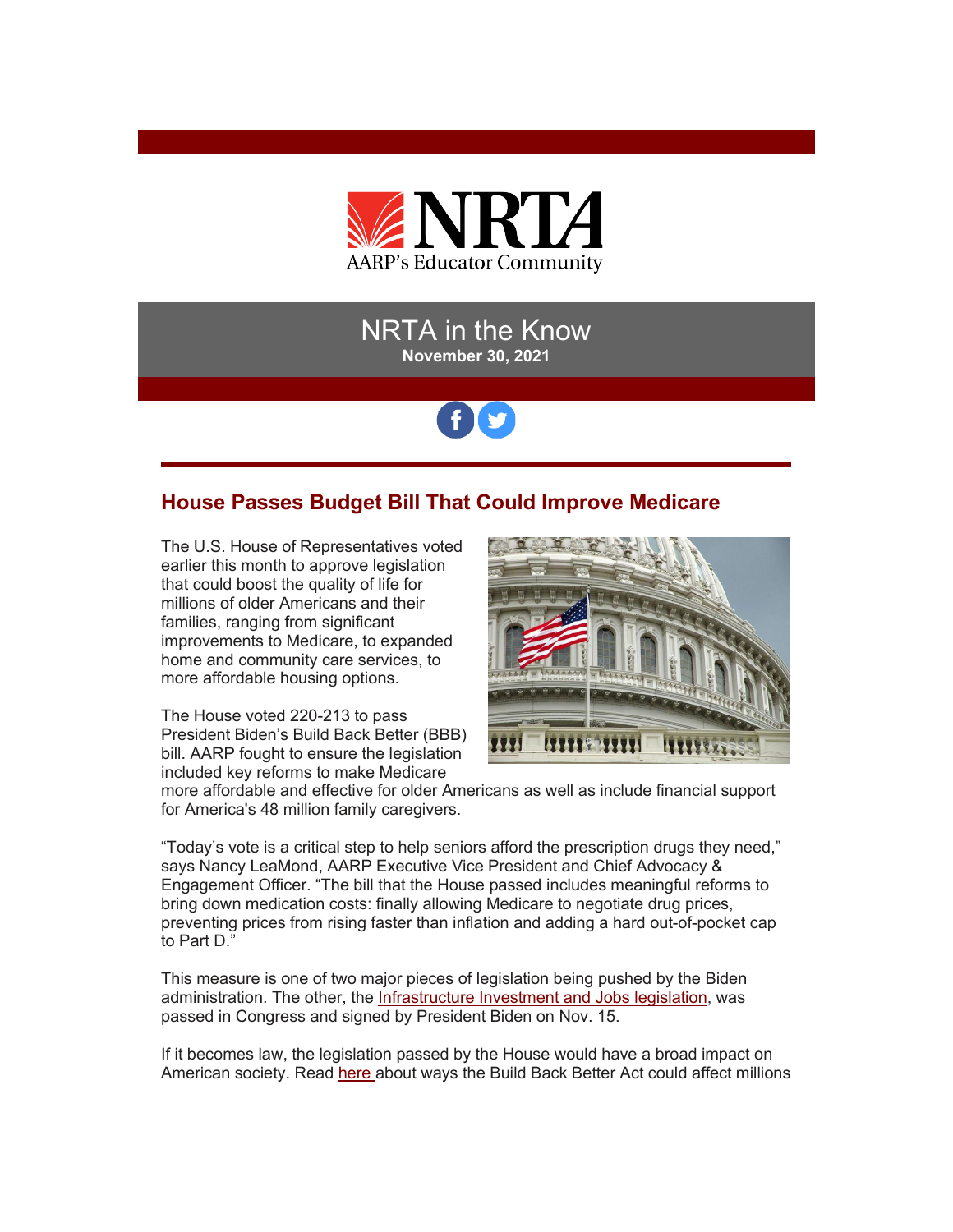

## NRTA in the Know **November 30, 2021**

# fy

## **House Passes Budget Bill That Could Improve Medicare**

The U.S. House of Representatives voted earlier this month to approve legislation that could boost the quality of life for millions of older Americans and their families, ranging from significant improvements to Medicare, to expanded home and community care services, to more affordable housing options.

The House voted 220-213 to pass President Biden's Build Back Better (BBB) bill. AARP fought to ensure the legislation included key reforms to make Medicare



more affordable and effective for older Americans as well as include financial support for America's 48 million family caregivers.

"Today's vote is a critical step to help seniors afford the prescription drugs they need," says Nancy LeaMond, AARP Executive Vice President and Chief Advocacy & Engagement Officer. "The bill that the House passed includes meaningful reforms to bring down medication costs: finally allowing Medicare to negotiate drug prices, preventing prices from rising faster than inflation and adding a hard out-of-pocket cap to Part D."

This measure is one of two major pieces of legislation being pushed by the Biden administration. The other, the [Infrastructure Investment and Jobs legislation,](https://r20.rs6.net/tn.jsp?f=001x2zzcq0OcerBgQKnSExyxzWqFnfWMSCRN0ZQcEpgsj563OIIeuCGiAZajmFfE2tzASNhhm6vgHYSc-6GLRaajaAcHq4OdAfjVU2b7dr0cQrqYTQfoBzjfmGxpC5j-_GcEdVpy07zbnT_mZgv9EmrP32hTfLykFV6x59Myer1Z4uiJfgZjJ6n078IZoFC0ZD_OHr-xwShFKS5CAIgHnK09zF8Ao2cRPQH_2kyO9PcQlw=&c=QIY1EDqxZ5cGc3lJFhYGgD47Hzc_8WiuaTZlVK3UX95kCJikAHu4LA==&ch=Llc08lN9mSruUOBAspwsXvi9U8XUmIGOxs7E6sh_Fi9PI64D19zYlg==) was passed in Congress and signed by President Biden on Nov. 15.

If it becomes law, the legislation passed by the House would have a broad impact on American society. Read [here a](https://r20.rs6.net/tn.jsp?f=001x2zzcq0OcerBgQKnSExyxzWqFnfWMSCRN0ZQcEpgsj563OIIeuCGiAZajmFfE2tz7v0lNaUymHg8g3afPnktHw0fQypZ7tqJxX6aZN7Z8Wmrd_U_vm8OdZoO2BSqHSkTL5ehryURngeB-yhHgP5jEfc0I1T268UW71_F1fc2BwAg-ZlXPToJv4C8v8dfFMIgUBxUZiS35zTIwFEI4-OhKqs-P9j-IaHD-bYmeIKIjnYUHhwnmRyUiu5t7bCx8VlNi8bv2zJOzXe5m_qCeo3bFwfPBZ-F2QTT&c=QIY1EDqxZ5cGc3lJFhYGgD47Hzc_8WiuaTZlVK3UX95kCJikAHu4LA==&ch=Llc08lN9mSruUOBAspwsXvi9U8XUmIGOxs7E6sh_Fi9PI64D19zYlg==)bout ways the Build Back Better Act could affect millions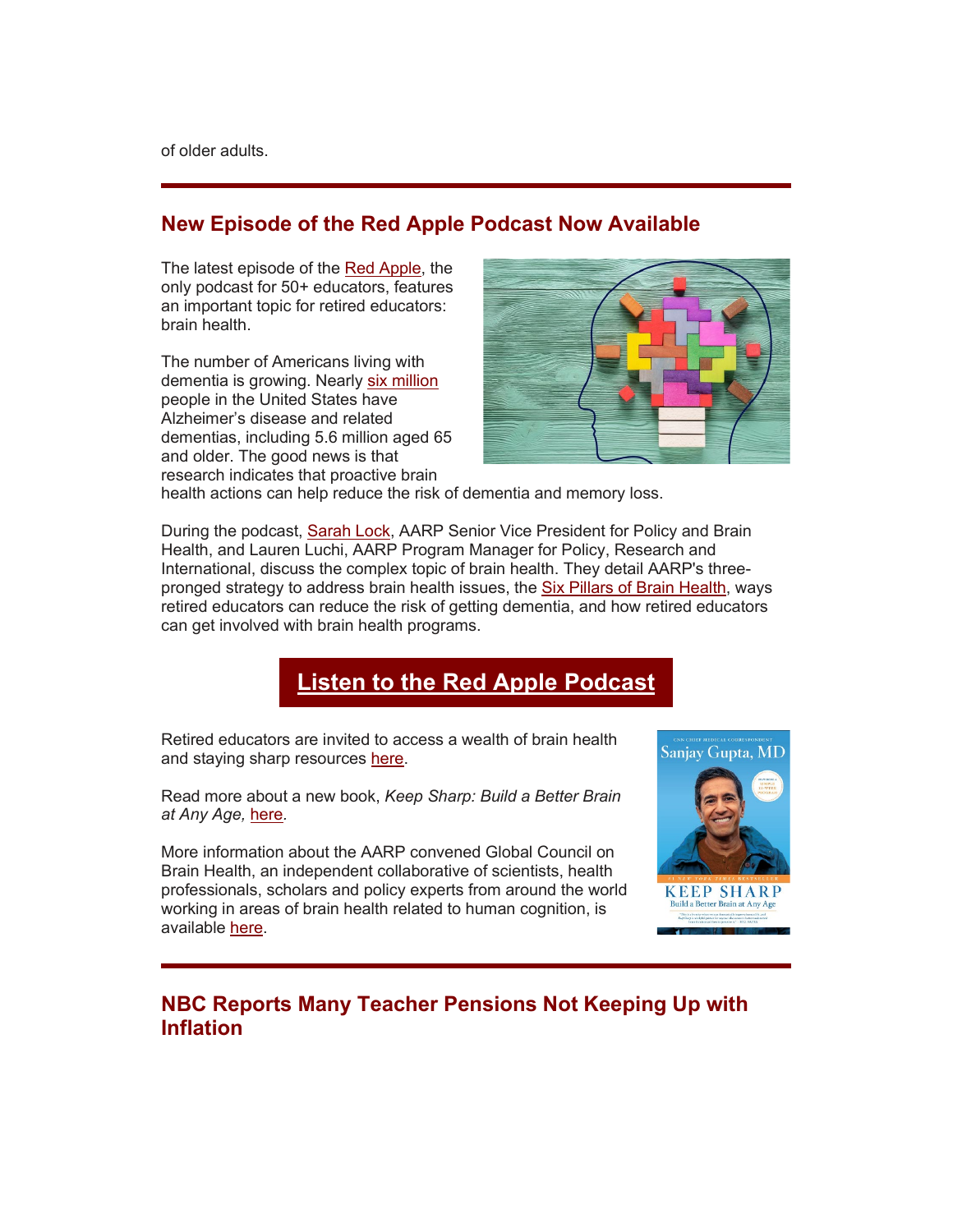## **New Episode of the Red Apple Podcast Now Available**

The latest episode of the [Red Apple,](https://r20.rs6.net/tn.jsp?f=001x2zzcq0OcerBgQKnSExyxzWqFnfWMSCRN0ZQcEpgsj563OIIeuCGiAZajmFfE2tzRPv-_63c2QqN-kYrZAzwfsj6qUSgi8UHrw5B1KUBc30WPhFzJlnvxF7sjc8qCcXlblHfoRk7wW7OOQx9-Ax9Nng8KKnQNlo24oKKQDcKGcxKO68hrNO5KLD2EIgqDDyW_fMqDoP3fQpYNpA2UCOFUQMZwwJ_FmneCFoXkApgofs=&c=QIY1EDqxZ5cGc3lJFhYGgD47Hzc_8WiuaTZlVK3UX95kCJikAHu4LA==&ch=Llc08lN9mSruUOBAspwsXvi9U8XUmIGOxs7E6sh_Fi9PI64D19zYlg==) the only podcast for 50+ educators, features an important topic for retired educators: brain health.

The number of Americans living with dementia is growing. Nearly [six million](https://r20.rs6.net/tn.jsp?f=001x2zzcq0OcerBgQKnSExyxzWqFnfWMSCRN0ZQcEpgsj563OIIeuCGiAZajmFfE2tznvtfG-9SZgF5HL3r_dc-xkpUzp89MP9ableEC2rES_Ve_AY8OerFqTfzrNgatmajGmb345upRa1DsWKVycATc0NDRve9VGYcWXusyruJlTwcwXB0CtGO4ua_20mfIs4YkGFqxLroWnCejD5DnIwYlg==&c=QIY1EDqxZ5cGc3lJFhYGgD47Hzc_8WiuaTZlVK3UX95kCJikAHu4LA==&ch=Llc08lN9mSruUOBAspwsXvi9U8XUmIGOxs7E6sh_Fi9PI64D19zYlg==) people in the United States have Alzheimer's disease and related dementias, including 5.6 million aged 65 and older. The good news is that research indicates that proactive brain



health actions can help reduce the risk of dementia and memory loss.

During the podcast, [Sarah Lock,](https://r20.rs6.net/tn.jsp?f=001x2zzcq0OcerBgQKnSExyxzWqFnfWMSCRN0ZQcEpgsj563OIIeuCGiAZajmFfE2tzrD7fEGKxTYtYUksArqGrnQk0hVjybwfxcRoeQ-intvjlzMWRK90gcmLd4E2KfRgvREjaQctthdW3jjoEAQ_WigBVOIt31DXkRgEwIMZMIDU=&c=QIY1EDqxZ5cGc3lJFhYGgD47Hzc_8WiuaTZlVK3UX95kCJikAHu4LA==&ch=Llc08lN9mSruUOBAspwsXvi9U8XUmIGOxs7E6sh_Fi9PI64D19zYlg==) AARP Senior Vice President for Policy and Brain Health, and Lauren Luchi, AARP Program Manager for Policy, Research and International, discuss the complex topic of brain health. They detail AARP's threepronged strategy to address brain health issues, the [Six Pillars of Brain Health,](https://r20.rs6.net/tn.jsp?f=001x2zzcq0OcerBgQKnSExyxzWqFnfWMSCRN0ZQcEpgsj563OIIeuCGiAZajmFfE2tzydgFpzTAZgWaC8ZLzQelka0efCLmLwlgGpVsouwm0_yRr5NyzVgafHA8I0WZhgfhtHgdDjnC8iXbirwODPX0eJtxYabqoW1uAhqBbhfC7U2I67_I7AxHqu2IYmyX7Z6mqGh6lYOqh-o=&c=QIY1EDqxZ5cGc3lJFhYGgD47Hzc_8WiuaTZlVK3UX95kCJikAHu4LA==&ch=Llc08lN9mSruUOBAspwsXvi9U8XUmIGOxs7E6sh_Fi9PI64D19zYlg==) ways retired educators can reduce the risk of getting dementia, and how retired educators can get involved with brain health programs.

# **[Listen to the Red Apple Podcast](https://r20.rs6.net/tn.jsp?f=001x2zzcq0OcerBgQKnSExyxzWqFnfWMSCRN0ZQcEpgsj563OIIeuCGiAZajmFfE2tzRPv-_63c2QqN-kYrZAzwfsj6qUSgi8UHrw5B1KUBc30WPhFzJlnvxF7sjc8qCcXlblHfoRk7wW7OOQx9-Ax9Nng8KKnQNlo24oKKQDcKGcxKO68hrNO5KLD2EIgqDDyW_fMqDoP3fQpYNpA2UCOFUQMZwwJ_FmneCFoXkApgofs=&c=QIY1EDqxZ5cGc3lJFhYGgD47Hzc_8WiuaTZlVK3UX95kCJikAHu4LA==&ch=Llc08lN9mSruUOBAspwsXvi9U8XUmIGOxs7E6sh_Fi9PI64D19zYlg==)**

Retired educators are invited to access a wealth of brain health and staying sharp resources [here.](https://r20.rs6.net/tn.jsp?f=001x2zzcq0OcerBgQKnSExyxzWqFnfWMSCRN0ZQcEpgsj563OIIeuCGiAZajmFfE2tzAJQxYMyipGMmSsMDboRSfgCroDuaqZj4H3VMJYlHNra_0NRb9cf6zAYRvX_eAc9cZ7i9CcnWjpht87kiXb6vGw==&c=QIY1EDqxZ5cGc3lJFhYGgD47Hzc_8WiuaTZlVK3UX95kCJikAHu4LA==&ch=Llc08lN9mSruUOBAspwsXvi9U8XUmIGOxs7E6sh_Fi9PI64D19zYlg==)

Read more about a new book, *Keep Sharp: Build a Better Brain at Any Age,* [here](https://r20.rs6.net/tn.jsp?f=001x2zzcq0OcerBgQKnSExyxzWqFnfWMSCRN0ZQcEpgsj563OIIeuCGiAZajmFfE2tzobVkrnylmZoacNN4FdtMXI0mp5qHnF-cPpFuBPefAlNdFt3cLuqjZ5GNHBboUkPT4a0E9FuVYueSMjyxhW8rVhZnUZ91J3WwbILp5F44z94kXI56Mjf0WbepBweCi9Os0JzzIzbizoXJax0SWXU0lR-HZJoldVxctNY-uNjuaNYyvu5mwVKvbS8kcb7JOIl76XOd07btboQ1nalaFocYnw==&c=QIY1EDqxZ5cGc3lJFhYGgD47Hzc_8WiuaTZlVK3UX95kCJikAHu4LA==&ch=Llc08lN9mSruUOBAspwsXvi9U8XUmIGOxs7E6sh_Fi9PI64D19zYlg==)*.* 

More information about the AARP convened Global Council on Brain Health, an independent collaborative of scientists, health professionals, scholars and policy experts from around the world working in areas of brain health related to human cognition, is available [here.](https://r20.rs6.net/tn.jsp?f=001x2zzcq0OcerBgQKnSExyxzWqFnfWMSCRN0ZQcEpgsj563OIIeuCGiAZajmFfE2tz6PzqfmkbQVaaCHvs2XpBgas7oXJuU07Ut1Olm199HWKcxwDGIv0fS_lluHXphDCjEep3--AwTJpGImTq9Vz9aOmx33FUlk5cCU3qEbNQUdB1WW5DIN1KDdC_wrzDjrO7kpTupzrIi4-KexBxMYH20Q==&c=QIY1EDqxZ5cGc3lJFhYGgD47Hzc_8WiuaTZlVK3UX95kCJikAHu4LA==&ch=Llc08lN9mSruUOBAspwsXvi9U8XUmIGOxs7E6sh_Fi9PI64D19zYlg==)



## **NBC Reports Many Teacher Pensions Not Keeping Up with Inflation**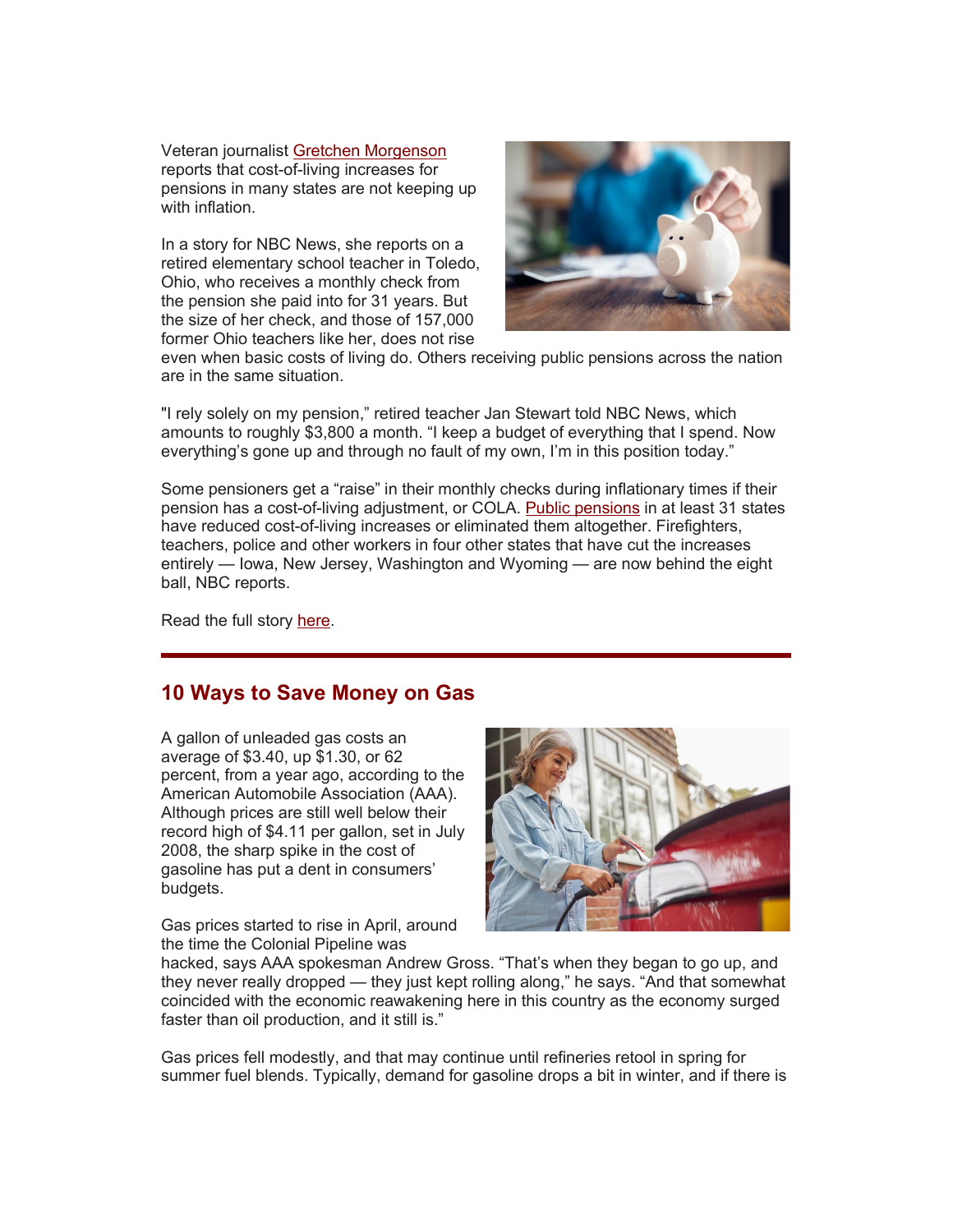Veteran journalist [Gretchen Morgenson](https://r20.rs6.net/tn.jsp?f=001x2zzcq0OcerBgQKnSExyxzWqFnfWMSCRN0ZQcEpgsj563OIIeuCGiAZajmFfE2tzxa5tIyUcfPwpy-ijoIXmXJUgsr_LZF2X-Fza3SgkDRF_5kiiNkIFUGIdZdcI1nY4oj9RZzoE1HApzYIIkRfTTnN_7n0lpUL2XBtVxAx3PthhTm9qvFRzPA==&c=QIY1EDqxZ5cGc3lJFhYGgD47Hzc_8WiuaTZlVK3UX95kCJikAHu4LA==&ch=Llc08lN9mSruUOBAspwsXvi9U8XUmIGOxs7E6sh_Fi9PI64D19zYlg==) reports that cost-of-living increases for pensions in many states are not keeping up with inflation.

In a story for NBC News, she reports on a retired elementary school teacher in Toledo, Ohio, who receives a monthly check from the pension she paid into for 31 years. But the size of her check, and those of 157,000 former Ohio teachers like her, does not rise



even when basic costs of living do. Others receiving public pensions across the nation are in the same situation.

"I rely solely on my pension," retired teacher Jan Stewart told NBC News, which amounts to roughly \$3,800 a month. "I keep a budget of everything that I spend. Now everything's gone up and through no fault of my own, I'm in this position today."

Some pensioners get a "raise" in their monthly checks during inflationary times if their pension has a cost-of-living adjustment, or COLA. [Public pensions](https://r20.rs6.net/tn.jsp?f=001x2zzcq0OcerBgQKnSExyxzWqFnfWMSCRN0ZQcEpgsj563OIIeuCGiAZajmFfE2tzx5inYE5Cd6OIVOfz2hr0PHduTCbDuwxzJ5Y1_tYORbqvI4wPPk83iQimUjVLrgvHt_b5vabDIxZCko0NwAm8pCEB_sXmLWlr&c=QIY1EDqxZ5cGc3lJFhYGgD47Hzc_8WiuaTZlVK3UX95kCJikAHu4LA==&ch=Llc08lN9mSruUOBAspwsXvi9U8XUmIGOxs7E6sh_Fi9PI64D19zYlg==) in at least 31 states have reduced cost-of-living increases or eliminated them altogether. Firefighters, teachers, police and other workers in four other states that have cut the increases entirely — Iowa, New Jersey, Washington and Wyoming — are now behind the eight ball, NBC reports.

Read the full story [here.](https://r20.rs6.net/tn.jsp?f=001x2zzcq0OcerBgQKnSExyxzWqFnfWMSCRN0ZQcEpgsj563OIIeuCGiAZajmFfE2tzoEAb8rVIf49M1QyHbfZnMZ-7n758P9aAWc73yif9_czWVQH8kebVIX7oS9rjfhsDxYsjr0P1ugP3HoV1seFSuByfrUIX2n2K8gZ5y-msXyAHvyctKX2uvoh6JepaA8FpWDewaZ-89alV1bR7N9SHN-7UN8COAYymkSrEeVUS6aufgctlbCX3T6v3mNnUM7MmjtWDujfHKbfiPXWvnWwOZQ==&c=QIY1EDqxZ5cGc3lJFhYGgD47Hzc_8WiuaTZlVK3UX95kCJikAHu4LA==&ch=Llc08lN9mSruUOBAspwsXvi9U8XUmIGOxs7E6sh_Fi9PI64D19zYlg==)

#### **10 Ways to Save Money on Gas**

A gallon of unleaded gas costs an average of \$3.40, up \$1.30, or 62 percent, from a year ago, according to the American Automobile Association (AAA). Although prices are still well below their record high of \$4.11 per gallon, set in July 2008, the sharp spike in the cost of gasoline has put a dent in consumers' budgets.

Gas prices started to rise in April, around the time the Colonial Pipeline was



hacked, says AAA spokesman Andrew Gross. "That's when they began to go up, and they never really dropped — they just kept rolling along," he says. "And that somewhat coincided with the economic reawakening here in this country as the economy surged faster than oil production, and it still is."

Gas prices fell modestly, and that may continue until refineries retool in spring for summer fuel blends. Typically, demand for gasoline drops a bit in winter, and if there is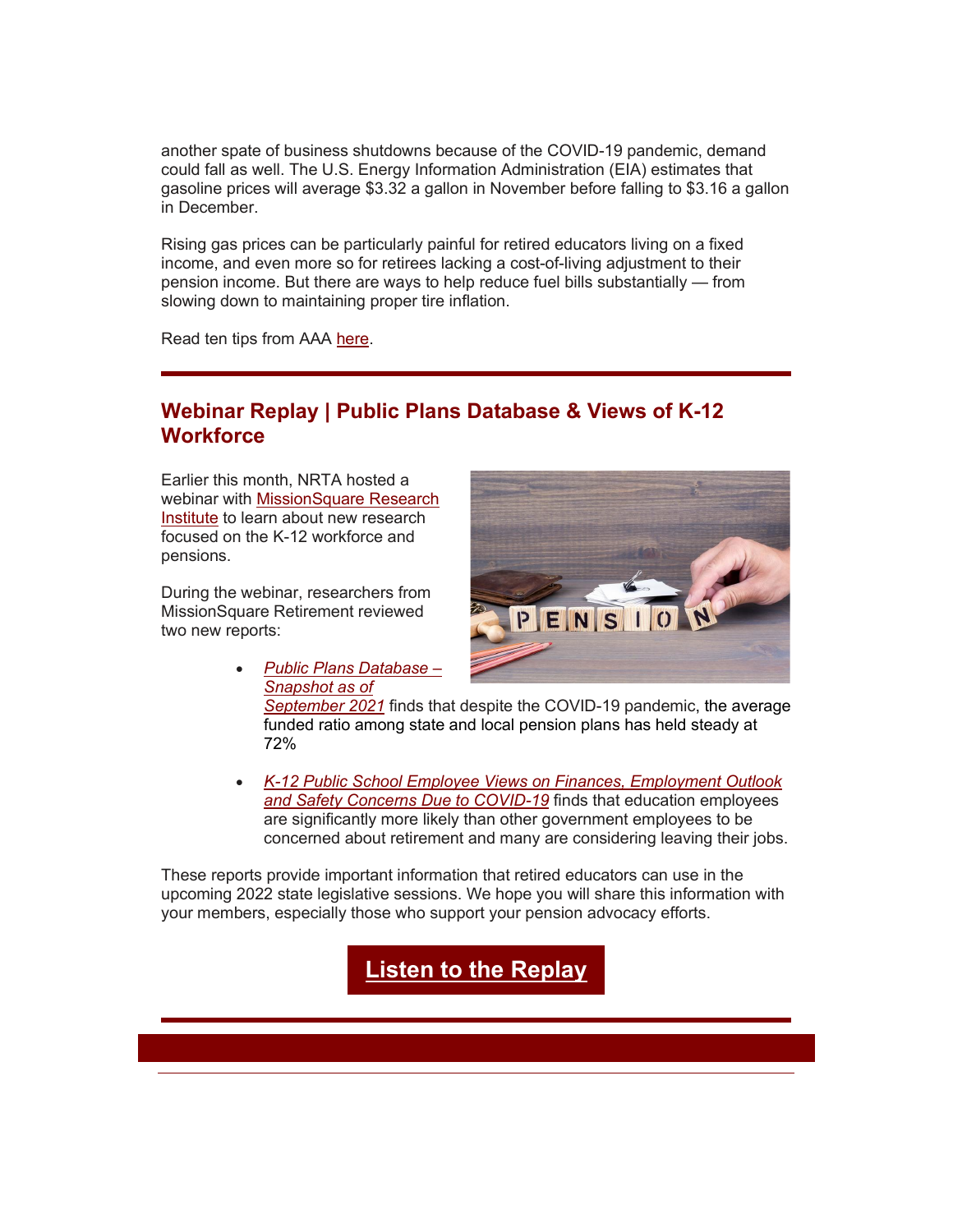another spate of business shutdowns because of the COVID-19 pandemic, demand could fall as well. The U.S. Energy Information Administration (EIA) estimates that gasoline prices will average \$3.32 a gallon in November before falling to \$3.16 a gallon in December.

Rising gas prices can be particularly painful for retired educators living on a fixed income, and even more so for retirees lacking a cost-of-living adjustment to their pension income. But there are ways to help reduce fuel bills substantially — from slowing down to maintaining proper tire inflation.

Read ten tips from AAA [here.](https://r20.rs6.net/tn.jsp?f=001x2zzcq0OcerBgQKnSExyxzWqFnfWMSCRN0ZQcEpgsj563OIIeuCGiAZajmFfE2tzm1zXpRlz1hq4_cCMAFFdGFzEQgnz6qzEXP-XlX5B1DpZsPOD5WjE2kMLdtnTu4hekG-CmVO755jphxBvKu-gK24PtQBcy_dr9ARfBRe1DotzjiGCIWEH98EjlJgVpi2GX5HvoA6eOcWSO9uStNGmX3cABXt4TMoOqtQn0wwSJN9NJnWrm5aI2co0OWMyErpdBhCZdlQnvZa1qTN_WVGth-jsO0Bi8IiRx_8gZkIRDIU=&c=QIY1EDqxZ5cGc3lJFhYGgD47Hzc_8WiuaTZlVK3UX95kCJikAHu4LA==&ch=Llc08lN9mSruUOBAspwsXvi9U8XUmIGOxs7E6sh_Fi9PI64D19zYlg==)

### **Webinar Replay | Public Plans Database & Views of K-12 Workforce**

Earlier this month, NRTA hosted a webinar with [MissionSquare Research](https://r20.rs6.net/tn.jsp?f=001x2zzcq0OcerBgQKnSExyxzWqFnfWMSCRN0ZQcEpgsj563OIIeuCGiJE-l77ULNB4qIRqgGzlm-4FSshktAwT08q6LcRNtASA2VQqP70scfzUVTfqhng_PXN1_dz8lIRCTotWBs-yhSg=&c=QIY1EDqxZ5cGc3lJFhYGgD47Hzc_8WiuaTZlVK3UX95kCJikAHu4LA==&ch=Llc08lN9mSruUOBAspwsXvi9U8XUmIGOxs7E6sh_Fi9PI64D19zYlg==)  [Institute](https://r20.rs6.net/tn.jsp?f=001x2zzcq0OcerBgQKnSExyxzWqFnfWMSCRN0ZQcEpgsj563OIIeuCGiJE-l77ULNB4qIRqgGzlm-4FSshktAwT08q6LcRNtASA2VQqP70scfzUVTfqhng_PXN1_dz8lIRCTotWBs-yhSg=&c=QIY1EDqxZ5cGc3lJFhYGgD47Hzc_8WiuaTZlVK3UX95kCJikAHu4LA==&ch=Llc08lN9mSruUOBAspwsXvi9U8XUmIGOxs7E6sh_Fi9PI64D19zYlg==) to learn about new research focused on the K-12 workforce and pensions.

During the webinar, researchers from MissionSquare Retirement reviewed two new reports:



- *[Public Plans Database –](https://r20.rs6.net/tn.jsp?f=001x2zzcq0OcerBgQKnSExyxzWqFnfWMSCRN0ZQcEpgsj563OIIeuCGiK6lLyfXGYPA7OSnT3FddmfaPGJUy-C0gs51WtKGAezKPYa8zIuysKuBdxond2xN-BnFPCVOzGvgpAyaY9o4XsY7dFmoh4T4lplEvEHTmMz_KwwAaaPzTWBDkqK9enAgrukGIvuaglbivGeSty8S5MP9FpYf1Beg6g==&c=QIY1EDqxZ5cGc3lJFhYGgD47Hzc_8WiuaTZlVK3UX95kCJikAHu4LA==&ch=Llc08lN9mSruUOBAspwsXvi9U8XUmIGOxs7E6sh_Fi9PI64D19zYlg==) [Snapshot as of](https://r20.rs6.net/tn.jsp?f=001x2zzcq0OcerBgQKnSExyxzWqFnfWMSCRN0ZQcEpgsj563OIIeuCGiK6lLyfXGYPA7OSnT3FddmfaPGJUy-C0gs51WtKGAezKPYa8zIuysKuBdxond2xN-BnFPCVOzGvgpAyaY9o4XsY7dFmoh4T4lplEvEHTmMz_KwwAaaPzTWBDkqK9enAgrukGIvuaglbivGeSty8S5MP9FpYf1Beg6g==&c=QIY1EDqxZ5cGc3lJFhYGgD47Hzc_8WiuaTZlVK3UX95kCJikAHu4LA==&ch=Llc08lN9mSruUOBAspwsXvi9U8XUmIGOxs7E6sh_Fi9PI64D19zYlg==)  [September 2021](https://r20.rs6.net/tn.jsp?f=001x2zzcq0OcerBgQKnSExyxzWqFnfWMSCRN0ZQcEpgsj563OIIeuCGiK6lLyfXGYPA7OSnT3FddmfaPGJUy-C0gs51WtKGAezKPYa8zIuysKuBdxond2xN-BnFPCVOzGvgpAyaY9o4XsY7dFmoh4T4lplEvEHTmMz_KwwAaaPzTWBDkqK9enAgrukGIvuaglbivGeSty8S5MP9FpYf1Beg6g==&c=QIY1EDqxZ5cGc3lJFhYGgD47Hzc_8WiuaTZlVK3UX95kCJikAHu4LA==&ch=Llc08lN9mSruUOBAspwsXvi9U8XUmIGOxs7E6sh_Fi9PI64D19zYlg==)* finds that despite the COVID-19 pandemic, the average funded ratio among state and local pension plans has held steady at 72%
- *[K-12 Public School Employee Views on Finances, Employment Outlook](https://r20.rs6.net/tn.jsp?f=001x2zzcq0OcerBgQKnSExyxzWqFnfWMSCRN0ZQcEpgsj563OIIeuCGiK6lLyfXGYPAaF7PqApjKSOkHms_Dy9b4Bv187bASfHQ2DP4FxJRDK8aOb3baO_h4qKvlcT5K2aNi1hhLqaBePqooYvzL45GYyXY9odNeFhyJX5nIce3uWb5SmbfYp1H8G10lfrNx88_Fzi2sSG_ybZsQBEXm7LSLw==&c=QIY1EDqxZ5cGc3lJFhYGgD47Hzc_8WiuaTZlVK3UX95kCJikAHu4LA==&ch=Llc08lN9mSruUOBAspwsXvi9U8XUmIGOxs7E6sh_Fi9PI64D19zYlg==)  [and Safety Concerns Due to COVID-19](https://r20.rs6.net/tn.jsp?f=001x2zzcq0OcerBgQKnSExyxzWqFnfWMSCRN0ZQcEpgsj563OIIeuCGiK6lLyfXGYPAaF7PqApjKSOkHms_Dy9b4Bv187bASfHQ2DP4FxJRDK8aOb3baO_h4qKvlcT5K2aNi1hhLqaBePqooYvzL45GYyXY9odNeFhyJX5nIce3uWb5SmbfYp1H8G10lfrNx88_Fzi2sSG_ybZsQBEXm7LSLw==&c=QIY1EDqxZ5cGc3lJFhYGgD47Hzc_8WiuaTZlVK3UX95kCJikAHu4LA==&ch=Llc08lN9mSruUOBAspwsXvi9U8XUmIGOxs7E6sh_Fi9PI64D19zYlg==)* finds that education employees are significantly more likely than other government employees to be concerned about retirement and many are considering leaving their jobs.

These reports provide important information that retired educators can use in the upcoming 2022 state legislative sessions. We hope you will share this information with your members, especially those who support your pension advocacy efforts.